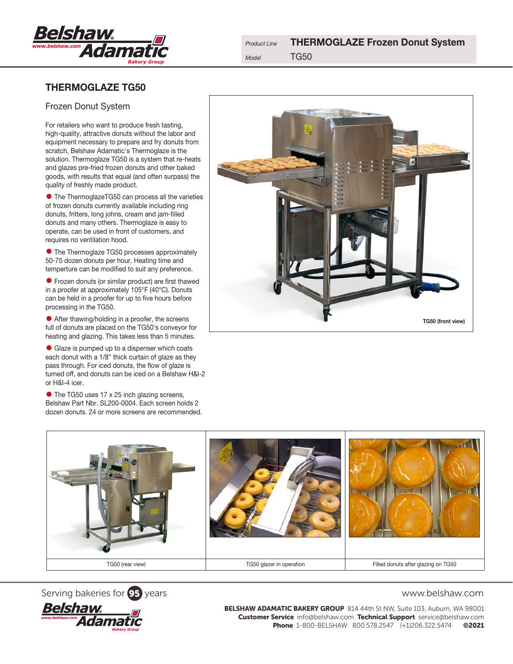

# THERMOGLAZE TG50

## Frozen Donut System

For retailers who want to produce fresh tasting, high-quality, attractive donuts without the labor and equipment necessary to prepare and fry donuts from scratch, Belshaw Adamatic's Thermoglaze is the solution. Thermoglaze TG50 is a system that re-heats and glazes pre-fried frozen donuts and other baked goods, with results that equal (and often surpass) the quality of freshly made product.

• The ThermoglazeTG50 can process all the varieties of frozen donuts currently available including ring donuts, fritters, long johns, cream and jam-filled donuts and many others. Thermoglaze is easy to operate, can be used in front of customers, and requires no ventilation hood.

• The Thermoglaze TG50 processes approximately 50-75 dozen donuts per hour. Heating time and temperture can be modified to suit any preference.

• Frozen donuts (or similar product) are first thawed in a proofer at approximately 105°F (40°C). Donuts can be held in a proofer for up to five hours before processing in the TG50.

• After thawing/holding in a proofer, the screens full of donuts are placed on the TG50's conveyor for heating and glazing. This takes less than 5 minutes.

• Glaze is pumped up to a dispenser which coats each donut with a 1/8" thick curtain of glaze as they pass through. For iced donuts, the flow of glaze is turned off, and donuts can be iced on a Belshaw H&I-2 or H&I-4 icer.

• The TG50 uses 17 x 25 inch glazing screens, Belshaw Part Nbr. SL200-0004. Each screen holds 2 dozen donuts. 24 or more screens are recommended.









BELSHAW ADAMATIC BAKERY GROUP 814 44th St NW, Suite 103, Auburn, WA 98001 Customer Service info@belshaw.com Technical Support service@belshaw.com Phone 1-800-BELSHAW 800.578.2547 (+1)206.322.5474 ©2021